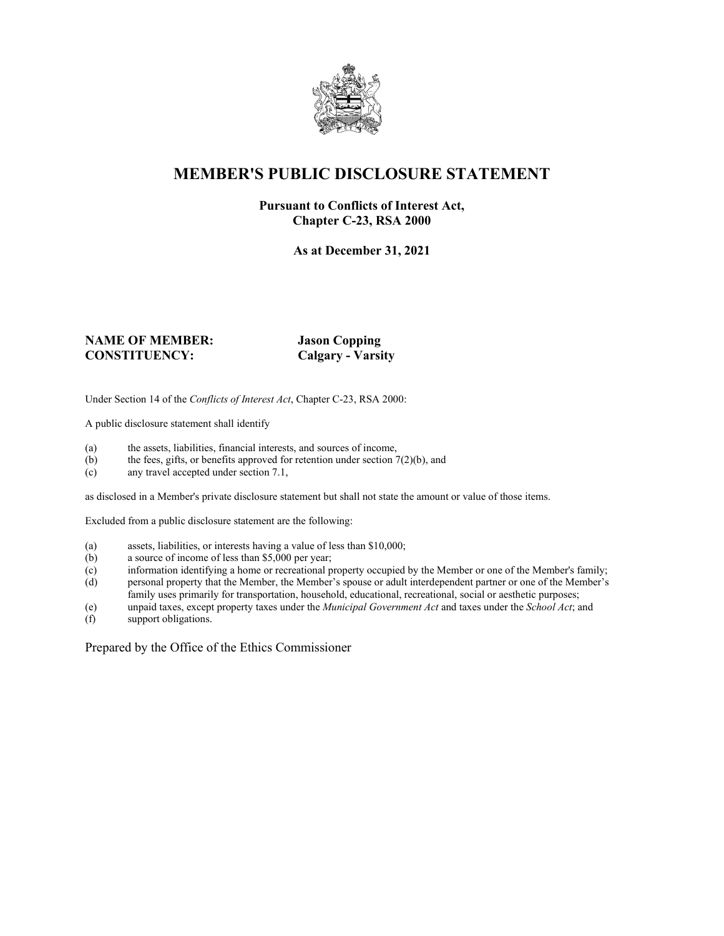

### **MEMBER'S PUBLIC DISCLOSURE STATEMENT**

#### **Pursuant to Conflicts of Interest Act, Chapter C-23, RSA 2000**

**As at December 31, 2021**

#### **NAME OF MEMBER: Jason Copping CONSTITUENCY: Calgary - Varsity**

Under Section 14 of the *Conflicts of Interest Act*, Chapter C-23, RSA 2000:

A public disclosure statement shall identify

- (a) the assets, liabilities, financial interests, and sources of income,  $(b)$  the fees, gifts, or benefits approved for retention under section 7
- the fees, gifts, or benefits approved for retention under section  $7(2)(b)$ , and
- (c) any travel accepted under section 7.1,

as disclosed in a Member's private disclosure statement but shall not state the amount or value of those items.

Excluded from a public disclosure statement are the following:

- (a) assets, liabilities, or interests having a value of less than \$10,000;<br>(b) a source of income of less than \$5,000 per year;
- a source of income of less than  $$5,000$  per year;
- (c) information identifying a home or recreational property occupied by the Member or one of the Member's family;
- (d) personal property that the Member, the Member's spouse or adult interdependent partner or one of the Member's family uses primarily for transportation, household, educational, recreational, social or aesthetic purposes;
- (e) unpaid taxes, except property taxes under the *Municipal Government Act* and taxes under the *School Act*; and
- (f) support obligations.

Prepared by the Office of the Ethics Commissioner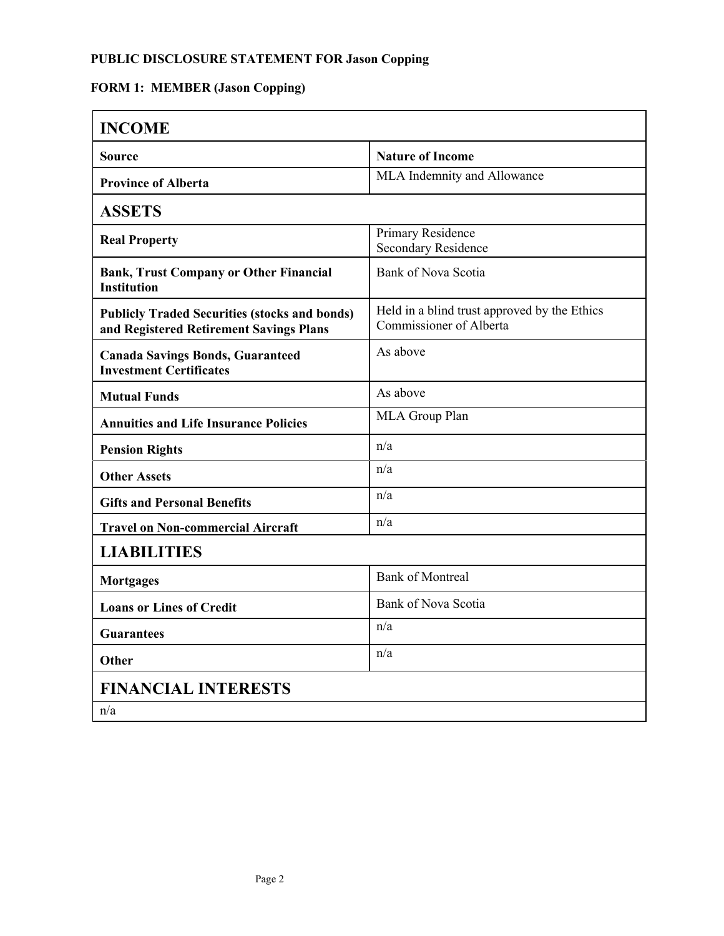## **FORM 1: MEMBER (Jason Copping)**

| <b>INCOME</b>                                                                                   |                                                                         |  |
|-------------------------------------------------------------------------------------------------|-------------------------------------------------------------------------|--|
| <b>Source</b>                                                                                   | <b>Nature of Income</b>                                                 |  |
| <b>Province of Alberta</b>                                                                      | MLA Indemnity and Allowance                                             |  |
| <b>ASSETS</b>                                                                                   |                                                                         |  |
| <b>Real Property</b>                                                                            | Primary Residence<br><b>Secondary Residence</b>                         |  |
| <b>Bank, Trust Company or Other Financial</b><br><b>Institution</b>                             | <b>Bank of Nova Scotia</b>                                              |  |
| <b>Publicly Traded Securities (stocks and bonds)</b><br>and Registered Retirement Savings Plans | Held in a blind trust approved by the Ethics<br>Commissioner of Alberta |  |
| <b>Canada Savings Bonds, Guaranteed</b><br><b>Investment Certificates</b>                       | As above                                                                |  |
| <b>Mutual Funds</b>                                                                             | As above                                                                |  |
| <b>Annuities and Life Insurance Policies</b>                                                    | MLA Group Plan                                                          |  |
| <b>Pension Rights</b>                                                                           | n/a                                                                     |  |
| <b>Other Assets</b>                                                                             | n/a                                                                     |  |
| <b>Gifts and Personal Benefits</b>                                                              | n/a                                                                     |  |
| <b>Travel on Non-commercial Aircraft</b>                                                        | n/a                                                                     |  |
| <b>LIABILITIES</b>                                                                              |                                                                         |  |
| <b>Mortgages</b>                                                                                | <b>Bank of Montreal</b>                                                 |  |
| <b>Loans or Lines of Credit</b>                                                                 | Bank of Nova Scotia                                                     |  |
| <b>Guarantees</b>                                                                               | n/a                                                                     |  |
| Other                                                                                           | n/a                                                                     |  |
| <b>FINANCIAL INTERESTS</b>                                                                      |                                                                         |  |
| n/a                                                                                             |                                                                         |  |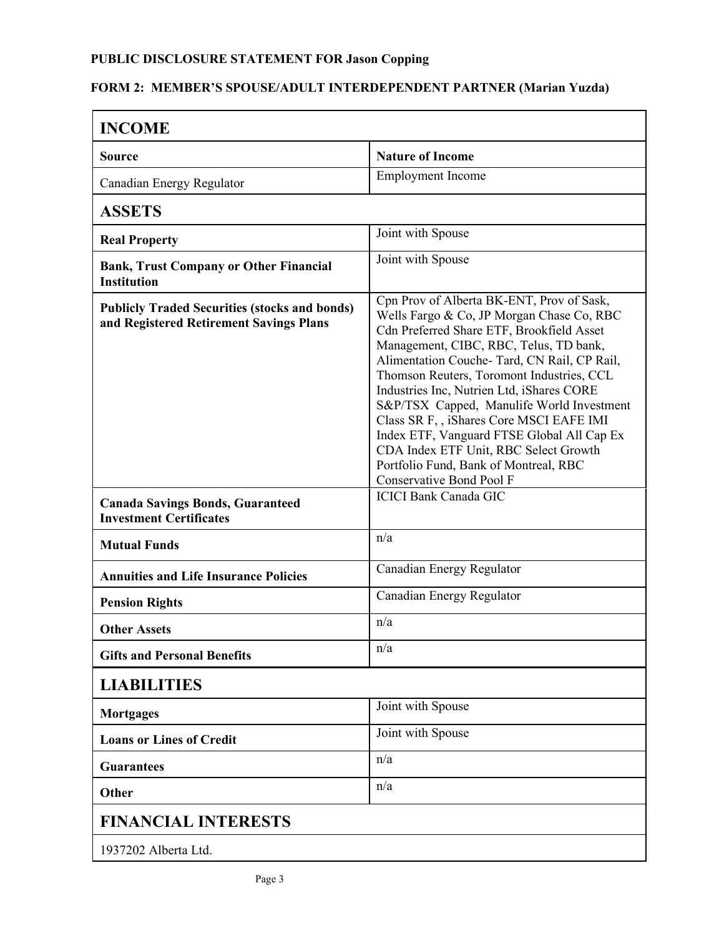## **FORM 2: MEMBER'S SPOUSE/ADULT INTERDEPENDENT PARTNER (Marian Yuzda)**

| <b>INCOME</b>                                                                                   |                                                                                                                                                                                                                                                                                                                                                                                                                                                                                                                                                                              |  |
|-------------------------------------------------------------------------------------------------|------------------------------------------------------------------------------------------------------------------------------------------------------------------------------------------------------------------------------------------------------------------------------------------------------------------------------------------------------------------------------------------------------------------------------------------------------------------------------------------------------------------------------------------------------------------------------|--|
| <b>Source</b>                                                                                   | <b>Nature of Income</b>                                                                                                                                                                                                                                                                                                                                                                                                                                                                                                                                                      |  |
| Canadian Energy Regulator                                                                       | <b>Employment Income</b>                                                                                                                                                                                                                                                                                                                                                                                                                                                                                                                                                     |  |
| <b>ASSETS</b>                                                                                   |                                                                                                                                                                                                                                                                                                                                                                                                                                                                                                                                                                              |  |
| <b>Real Property</b>                                                                            | Joint with Spouse                                                                                                                                                                                                                                                                                                                                                                                                                                                                                                                                                            |  |
| <b>Bank, Trust Company or Other Financial</b><br><b>Institution</b>                             | Joint with Spouse                                                                                                                                                                                                                                                                                                                                                                                                                                                                                                                                                            |  |
| <b>Publicly Traded Securities (stocks and bonds)</b><br>and Registered Retirement Savings Plans | Cpn Prov of Alberta BK-ENT, Prov of Sask,<br>Wells Fargo & Co, JP Morgan Chase Co, RBC<br>Cdn Preferred Share ETF, Brookfield Asset<br>Management, CIBC, RBC, Telus, TD bank,<br>Alimentation Couche- Tard, CN Rail, CP Rail,<br>Thomson Reuters, Toromont Industries, CCL<br>Industries Inc, Nutrien Ltd, iShares CORE<br>S&P/TSX Capped, Manulife World Investment<br>Class SR F, , iShares Core MSCI EAFE IMI<br>Index ETF, Vanguard FTSE Global All Cap Ex<br>CDA Index ETF Unit, RBC Select Growth<br>Portfolio Fund, Bank of Montreal, RBC<br>Conservative Bond Pool F |  |
| <b>Canada Savings Bonds, Guaranteed</b><br><b>Investment Certificates</b>                       | <b>ICICI Bank Canada GIC</b>                                                                                                                                                                                                                                                                                                                                                                                                                                                                                                                                                 |  |
| <b>Mutual Funds</b>                                                                             | n/a                                                                                                                                                                                                                                                                                                                                                                                                                                                                                                                                                                          |  |
| <b>Annuities and Life Insurance Policies</b>                                                    | Canadian Energy Regulator                                                                                                                                                                                                                                                                                                                                                                                                                                                                                                                                                    |  |
| <b>Pension Rights</b>                                                                           | Canadian Energy Regulator                                                                                                                                                                                                                                                                                                                                                                                                                                                                                                                                                    |  |
| <b>Other Assets</b>                                                                             | n/a                                                                                                                                                                                                                                                                                                                                                                                                                                                                                                                                                                          |  |
| <b>Gifts and Personal Benefits</b>                                                              | n/a                                                                                                                                                                                                                                                                                                                                                                                                                                                                                                                                                                          |  |
| <b>LIABILITIES</b>                                                                              |                                                                                                                                                                                                                                                                                                                                                                                                                                                                                                                                                                              |  |
| <b>Mortgages</b>                                                                                | Joint with Spouse                                                                                                                                                                                                                                                                                                                                                                                                                                                                                                                                                            |  |
| <b>Loans or Lines of Credit</b>                                                                 | Joint with Spouse                                                                                                                                                                                                                                                                                                                                                                                                                                                                                                                                                            |  |
| <b>Guarantees</b>                                                                               | n/a                                                                                                                                                                                                                                                                                                                                                                                                                                                                                                                                                                          |  |
| Other                                                                                           | n/a                                                                                                                                                                                                                                                                                                                                                                                                                                                                                                                                                                          |  |
| <b>FINANCIAL INTERESTS</b>                                                                      |                                                                                                                                                                                                                                                                                                                                                                                                                                                                                                                                                                              |  |
| 1937202 Alberta Ltd.                                                                            |                                                                                                                                                                                                                                                                                                                                                                                                                                                                                                                                                                              |  |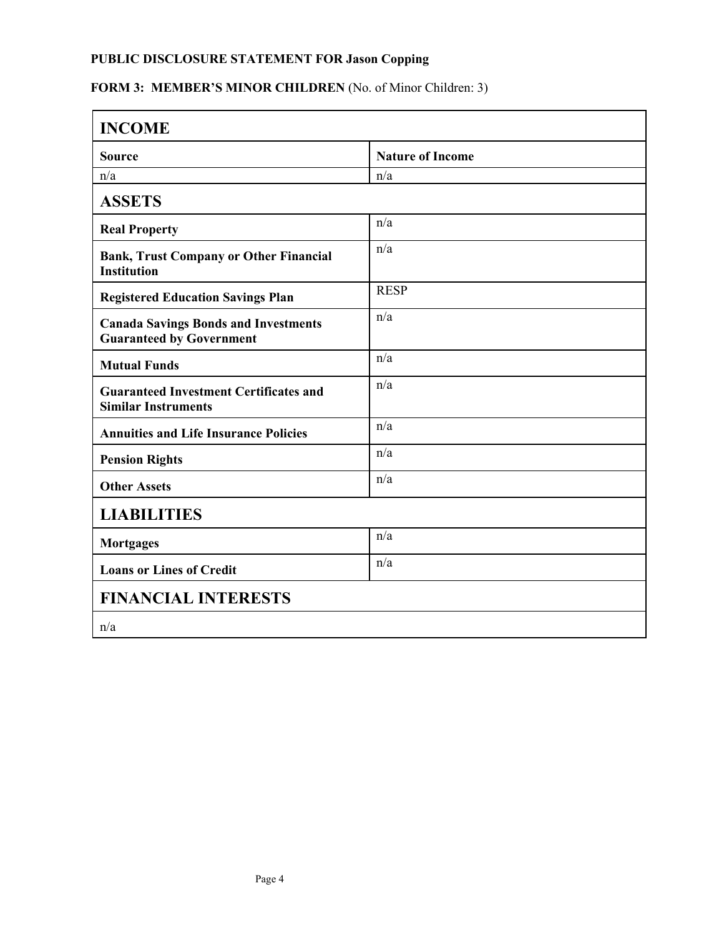## FORM 3: MEMBER'S MINOR CHILDREN (No. of Minor Children: 3)

| <b>INCOME</b>                                                                  |                         |  |
|--------------------------------------------------------------------------------|-------------------------|--|
| <b>Source</b>                                                                  | <b>Nature of Income</b> |  |
| n/a                                                                            | n/a                     |  |
| <b>ASSETS</b>                                                                  |                         |  |
| <b>Real Property</b>                                                           | n/a                     |  |
| <b>Bank, Trust Company or Other Financial</b><br><b>Institution</b>            | n/a                     |  |
| <b>Registered Education Savings Plan</b>                                       | <b>RESP</b>             |  |
| <b>Canada Savings Bonds and Investments</b><br><b>Guaranteed by Government</b> | n/a                     |  |
| <b>Mutual Funds</b>                                                            | n/a                     |  |
| <b>Guaranteed Investment Certificates and</b><br><b>Similar Instruments</b>    | n/a                     |  |
| <b>Annuities and Life Insurance Policies</b>                                   | n/a                     |  |
| <b>Pension Rights</b>                                                          | n/a                     |  |
| <b>Other Assets</b>                                                            | n/a                     |  |
| <b>LIABILITIES</b>                                                             |                         |  |
| <b>Mortgages</b>                                                               | n/a                     |  |
| <b>Loans or Lines of Credit</b>                                                | n/a                     |  |
| <b>FINANCIAL INTERESTS</b>                                                     |                         |  |
| n/a                                                                            |                         |  |